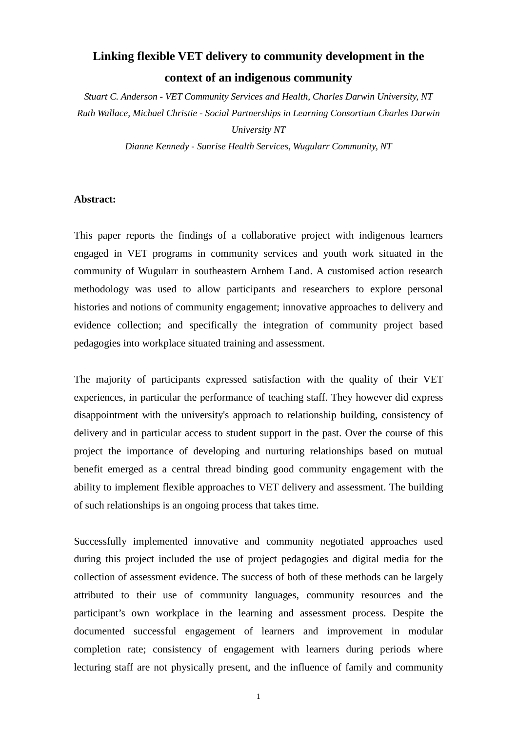# **Linking flexible VET delivery to community development in the context of an indigenous community**

*Stuart C. Anderson - VET Community Services and Health, Charles Darwin University, NT Ruth Wallace, Michael Christie - Social Partnerships in Learning Consortium Charles Darwin University NT* 

*Dianne Kennedy - Sunrise Health Services, Wugularr Community, NT* 

## **Abstract:**

This paper reports the findings of a collaborative project with indigenous learners engaged in VET programs in community services and youth work situated in the community of Wugularr in southeastern Arnhem Land. A customised action research methodology was used to allow participants and researchers to explore personal histories and notions of community engagement; innovative approaches to delivery and evidence collection; and specifically the integration of community project based pedagogies into workplace situated training and assessment.

The majority of participants expressed satisfaction with the quality of their VET experiences, in particular the performance of teaching staff. They however did express disappointment with the university's approach to relationship building, consistency of delivery and in particular access to student support in the past. Over the course of this project the importance of developing and nurturing relationships based on mutual benefit emerged as a central thread binding good community engagement with the ability to implement flexible approaches to VET delivery and assessment. The building of such relationships is an ongoing process that takes time.

Successfully implemented innovative and community negotiated approaches used during this project included the use of project pedagogies and digital media for the collection of assessment evidence. The success of both of these methods can be largely attributed to their use of community languages, community resources and the participant's own workplace in the learning and assessment process. Despite the documented successful engagement of learners and improvement in modular completion rate; consistency of engagement with learners during periods where lecturing staff are not physically present, and the influence of family and community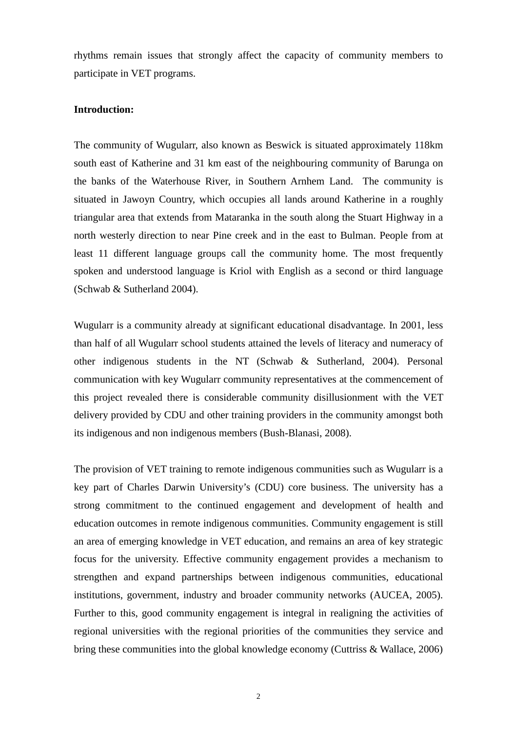rhythms remain issues that strongly affect the capacity of community members to participate in VET programs.

# **Introduction:**

The community of Wugularr, also known as Beswick is situated approximately 118km south east of Katherine and 31 km east of the neighbouring community of Barunga on the banks of the Waterhouse River, in Southern Arnhem Land. The community is situated in Jawoyn Country, which occupies all lands around Katherine in a roughly triangular area that extends from Mataranka in the south along the Stuart Highway in a north westerly direction to near Pine creek and in the east to Bulman. People from at least 11 different language groups call the community home. The most frequently spoken and understood language is Kriol with English as a second or third language (Schwab & Sutherland 2004).

Wugularr is a community already at significant educational disadvantage. In 2001, less than half of all Wugularr school students attained the levels of literacy and numeracy of other indigenous students in the NT (Schwab & Sutherland, 2004). Personal communication with key Wugularr community representatives at the commencement of this project revealed there is considerable community disillusionment with the VET delivery provided by CDU and other training providers in the community amongst both its indigenous and non indigenous members (Bush-Blanasi, 2008).

The provision of VET training to remote indigenous communities such as Wugularr is a key part of Charles Darwin University's (CDU) core business. The university has a strong commitment to the continued engagement and development of health and education outcomes in remote indigenous communities. Community engagement is still an area of emerging knowledge in VET education, and remains an area of key strategic focus for the university. Effective community engagement provides a mechanism to strengthen and expand partnerships between indigenous communities, educational institutions, government, industry and broader community networks (AUCEA, 2005). Further to this, good community engagement is integral in realigning the activities of regional universities with the regional priorities of the communities they service and bring these communities into the global knowledge economy (Cuttriss & Wallace, 2006)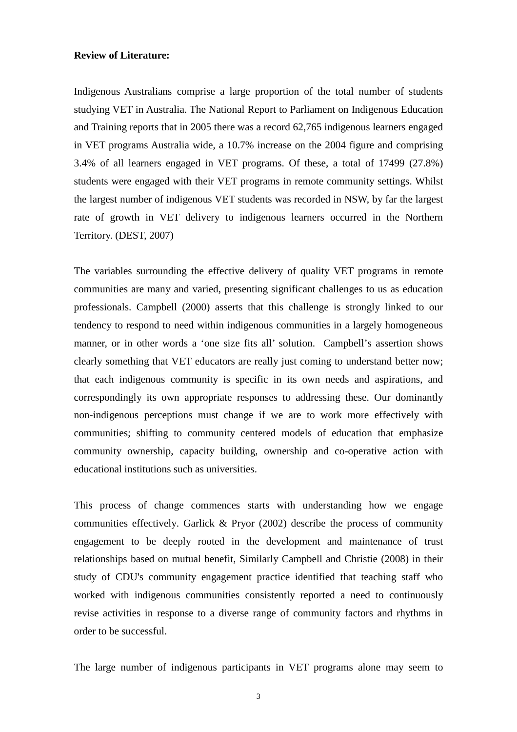#### **Review of Literature:**

Indigenous Australians comprise a large proportion of the total number of students studying VET in Australia. The National Report to Parliament on Indigenous Education and Training reports that in 2005 there was a record 62,765 indigenous learners engaged in VET programs Australia wide, a 10.7% increase on the 2004 figure and comprising 3.4% of all learners engaged in VET programs. Of these, a total of 17499 (27.8%) students were engaged with their VET programs in remote community settings. Whilst the largest number of indigenous VET students was recorded in NSW, by far the largest rate of growth in VET delivery to indigenous learners occurred in the Northern Territory. (DEST, 2007)

The variables surrounding the effective delivery of quality VET programs in remote communities are many and varied, presenting significant challenges to us as education professionals. Campbell (2000) asserts that this challenge is strongly linked to our tendency to respond to need within indigenous communities in a largely homogeneous manner, or in other words a 'one size fits all' solution. Campbell's assertion shows clearly something that VET educators are really just coming to understand better now; that each indigenous community is specific in its own needs and aspirations, and correspondingly its own appropriate responses to addressing these. Our dominantly non-indigenous perceptions must change if we are to work more effectively with communities; shifting to community centered models of education that emphasize community ownership, capacity building, ownership and co-operative action with educational institutions such as universities.

This process of change commences starts with understanding how we engage communities effectively. Garlick & Pryor (2002) describe the process of community engagement to be deeply rooted in the development and maintenance of trust relationships based on mutual benefit, Similarly Campbell and Christie (2008) in their study of CDU's community engagement practice identified that teaching staff who worked with indigenous communities consistently reported a need to continuously revise activities in response to a diverse range of community factors and rhythms in order to be successful.

The large number of indigenous participants in VET programs alone may seem to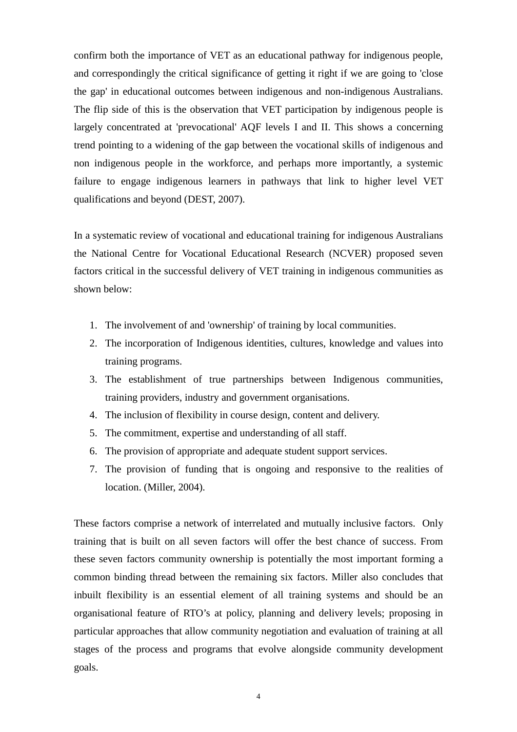confirm both the importance of VET as an educational pathway for indigenous people, and correspondingly the critical significance of getting it right if we are going to 'close the gap' in educational outcomes between indigenous and non-indigenous Australians. The flip side of this is the observation that VET participation by indigenous people is largely concentrated at 'prevocational' AQF levels I and II. This shows a concerning trend pointing to a widening of the gap between the vocational skills of indigenous and non indigenous people in the workforce, and perhaps more importantly, a systemic failure to engage indigenous learners in pathways that link to higher level VET qualifications and beyond (DEST, 2007).

In a systematic review of vocational and educational training for indigenous Australians the National Centre for Vocational Educational Research (NCVER) proposed seven factors critical in the successful delivery of VET training in indigenous communities as shown below:

- 1. The involvement of and 'ownership' of training by local communities.
- 2. The incorporation of Indigenous identities, cultures, knowledge and values into training programs.
- 3. The establishment of true partnerships between Indigenous communities, training providers, industry and government organisations.
- 4. The inclusion of flexibility in course design, content and delivery.
- 5. The commitment, expertise and understanding of all staff.
- 6. The provision of appropriate and adequate student support services.
- 7. The provision of funding that is ongoing and responsive to the realities of location. (Miller, 2004).

These factors comprise a network of interrelated and mutually inclusive factors. Only training that is built on all seven factors will offer the best chance of success. From these seven factors community ownership is potentially the most important forming a common binding thread between the remaining six factors. Miller also concludes that inbuilt flexibility is an essential element of all training systems and should be an organisational feature of RTO's at policy, planning and delivery levels; proposing in particular approaches that allow community negotiation and evaluation of training at all stages of the process and programs that evolve alongside community development goals.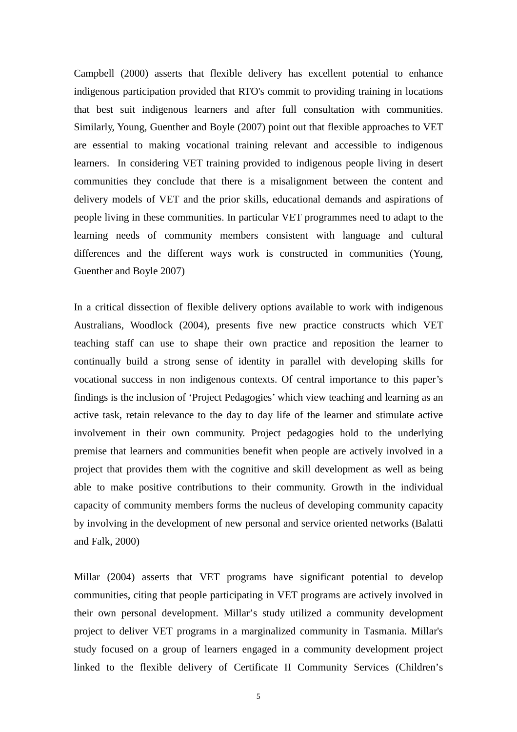Campbell (2000) asserts that flexible delivery has excellent potential to enhance indigenous participation provided that RTO's commit to providing training in locations that best suit indigenous learners and after full consultation with communities. Similarly, Young, Guenther and Boyle (2007) point out that flexible approaches to VET are essential to making vocational training relevant and accessible to indigenous learners. In considering VET training provided to indigenous people living in desert communities they conclude that there is a misalignment between the content and delivery models of VET and the prior skills, educational demands and aspirations of people living in these communities. In particular VET programmes need to adapt to the learning needs of community members consistent with language and cultural differences and the different ways work is constructed in communities (Young, Guenther and Boyle 2007)

In a critical dissection of flexible delivery options available to work with indigenous Australians, Woodlock (2004), presents five new practice constructs which VET teaching staff can use to shape their own practice and reposition the learner to continually build a strong sense of identity in parallel with developing skills for vocational success in non indigenous contexts. Of central importance to this paper's findings is the inclusion of 'Project Pedagogies' which view teaching and learning as an active task, retain relevance to the day to day life of the learner and stimulate active involvement in their own community. Project pedagogies hold to the underlying premise that learners and communities benefit when people are actively involved in a project that provides them with the cognitive and skill development as well as being able to make positive contributions to their community. Growth in the individual capacity of community members forms the nucleus of developing community capacity by involving in the development of new personal and service oriented networks (Balatti and Falk, 2000)

Millar (2004) asserts that VET programs have significant potential to develop communities, citing that people participating in VET programs are actively involved in their own personal development. Millar's study utilized a community development project to deliver VET programs in a marginalized community in Tasmania. Millar's study focused on a group of learners engaged in a community development project linked to the flexible delivery of Certificate II Community Services (Children's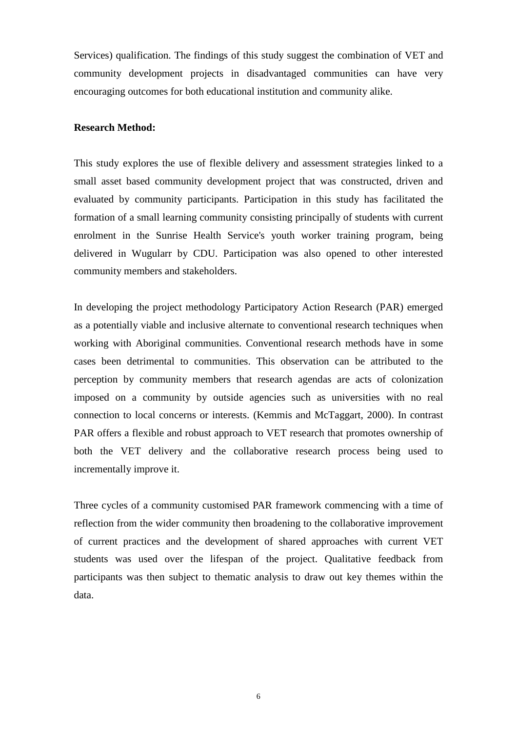Services) qualification. The findings of this study suggest the combination of VET and community development projects in disadvantaged communities can have very encouraging outcomes for both educational institution and community alike.

#### **Research Method:**

This study explores the use of flexible delivery and assessment strategies linked to a small asset based community development project that was constructed, driven and evaluated by community participants. Participation in this study has facilitated the formation of a small learning community consisting principally of students with current enrolment in the Sunrise Health Service's youth worker training program, being delivered in Wugularr by CDU. Participation was also opened to other interested community members and stakeholders.

In developing the project methodology Participatory Action Research (PAR) emerged as a potentially viable and inclusive alternate to conventional research techniques when working with Aboriginal communities. Conventional research methods have in some cases been detrimental to communities. This observation can be attributed to the perception by community members that research agendas are acts of colonization imposed on a community by outside agencies such as universities with no real connection to local concerns or interests. (Kemmis and McTaggart, 2000). In contrast PAR offers a flexible and robust approach to VET research that promotes ownership of both the VET delivery and the collaborative research process being used to incrementally improve it.

Three cycles of a community customised PAR framework commencing with a time of reflection from the wider community then broadening to the collaborative improvement of current practices and the development of shared approaches with current VET students was used over the lifespan of the project. Qualitative feedback from participants was then subject to thematic analysis to draw out key themes within the data.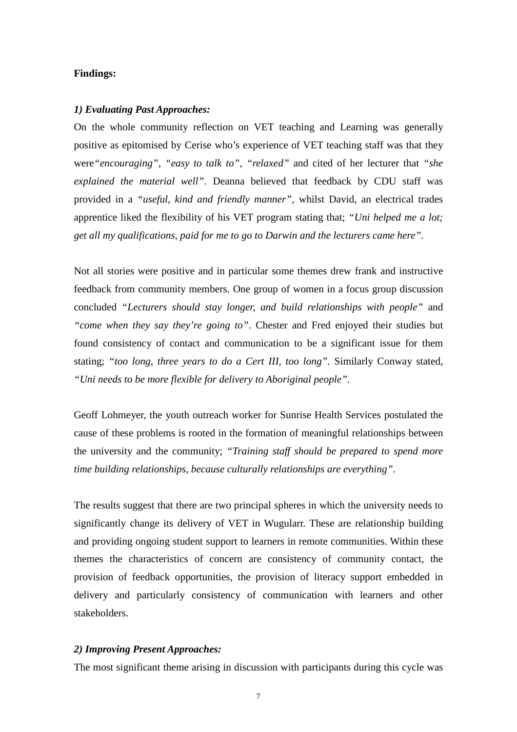## **Findings:**

#### *1) Evaluating Past Approaches:*

On the whole community reflection on VET teaching and Learning was generally positive as epitomised by Cerise who's experience of VET teaching staff was that they were*"encouraging", "easy to talk to", "relaxed"* and cited of her lecturer that *"she explained the material well"*. Deanna believed that feedback by CDU staff was provided in a *"useful, kind and friendly manner",* whilst David, an electrical trades apprentice liked the flexibility of his VET program stating that; *"Uni helped me a lot; get all my qualifications, paid for me to go to Darwin and the lecturers came here".* 

Not all stories were positive and in particular some themes drew frank and instructive feedback from community members. One group of women in a focus group discussion concluded *"Lecturers should stay longer, and build relationships with people"* and *"come when they say they're going to"*. Chester and Fred enjoyed their studies but found consistency of contact and communication to be a significant issue for them stating; *"too long, three years to do a Cert III, too long".* Similarly Conway stated, *"Uni needs to be more flexible for delivery to Aboriginal people".*

Geoff Lohmeyer, the youth outreach worker for Sunrise Health Services postulated the cause of these problems is rooted in the formation of meaningful relationships between the university and the community; *"Training staff should be prepared to spend more time building relationships, because culturally relationships are everything".* 

The results suggest that there are two principal spheres in which the university needs to significantly change its delivery of VET in Wugularr. These are relationship building and providing ongoing student support to learners in remote communities. Within these themes the characteristics of concern are consistency of community contact, the provision of feedback opportunities, the provision of literacy support embedded in delivery and particularly consistency of communication with learners and other stakeholders.

# *2) Improving Present Approaches:*

The most significant theme arising in discussion with participants during this cycle was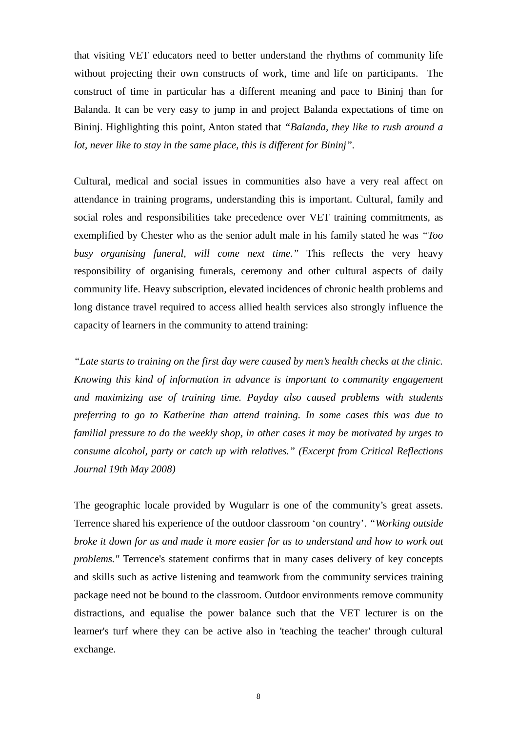that visiting VET educators need to better understand the rhythms of community life without projecting their own constructs of work, time and life on participants. The construct of time in particular has a different meaning and pace to Bininj than for Balanda. It can be very easy to jump in and project Balanda expectations of time on Bininj. Highlighting this point, Anton stated that *"Balanda, they like to rush around a lot, never like to stay in the same place, this is different for Bininj".*

Cultural, medical and social issues in communities also have a very real affect on attendance in training programs, understanding this is important. Cultural, family and social roles and responsibilities take precedence over VET training commitments, as exemplified by Chester who as the senior adult male in his family stated he was *"Too busy organising funeral, will come next time."* This reflects the very heavy responsibility of organising funerals, ceremony and other cultural aspects of daily community life. Heavy subscription, elevated incidences of chronic health problems and long distance travel required to access allied health services also strongly influence the capacity of learners in the community to attend training:

*"Late starts to training on the first day were caused by men's health checks at the clinic. Knowing this kind of information in advance is important to community engagement and maximizing use of training time. Payday also caused problems with students preferring to go to Katherine than attend training. In some cases this was due to familial pressure to do the weekly shop, in other cases it may be motivated by urges to consume alcohol, party or catch up with relatives." (Excerpt from Critical Reflections Journal 19th May 2008)* 

The geographic locale provided by Wugularr is one of the community's great assets. Terrence shared his experience of the outdoor classroom 'on country'. *"Working outside broke it down for us and made it more easier for us to understand and how to work out problems."* Terrence's statement confirms that in many cases delivery of key concepts and skills such as active listening and teamwork from the community services training package need not be bound to the classroom. Outdoor environments remove community distractions, and equalise the power balance such that the VET lecturer is on the learner's turf where they can be active also in 'teaching the teacher' through cultural exchange.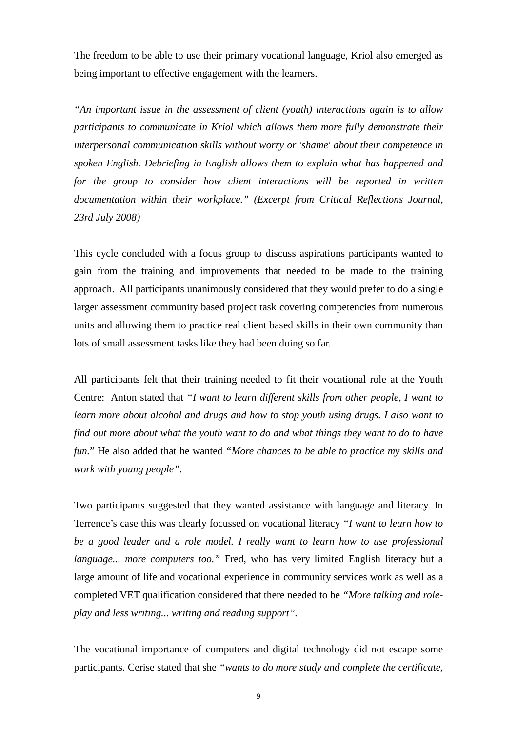The freedom to be able to use their primary vocational language, Kriol also emerged as being important to effective engagement with the learners.

*"An important issue in the assessment of client (youth) interactions again is to allow participants to communicate in Kriol which allows them more fully demonstrate their interpersonal communication skills without worry or 'shame' about their competence in spoken English. Debriefing in English allows them to explain what has happened and for the group to consider how client interactions will be reported in written documentation within their workplace." (Excerpt from Critical Reflections Journal, 23rd July 2008)* 

This cycle concluded with a focus group to discuss aspirations participants wanted to gain from the training and improvements that needed to be made to the training approach. All participants unanimously considered that they would prefer to do a single larger assessment community based project task covering competencies from numerous units and allowing them to practice real client based skills in their own community than lots of small assessment tasks like they had been doing so far.

All participants felt that their training needed to fit their vocational role at the Youth Centre: Anton stated that *"I want to learn different skills from other people, I want to learn more about alcohol and drugs and how to stop youth using drugs. I also want to find out more about what the youth want to do and what things they want to do to have fun.*" He also added that he wanted *"More chances to be able to practice my skills and work with young people".*

Two participants suggested that they wanted assistance with language and literacy. In Terrence's case this was clearly focussed on vocational literacy *"I want to learn how to be a good leader and a role model. I really want to learn how to use professional language... more computers too."* Fred, who has very limited English literacy but a large amount of life and vocational experience in community services work as well as a completed VET qualification considered that there needed to be *"More talking and roleplay and less writing... writing and reading support".*

The vocational importance of computers and digital technology did not escape some participants. Cerise stated that she *"wants to do more study and complete the certificate,*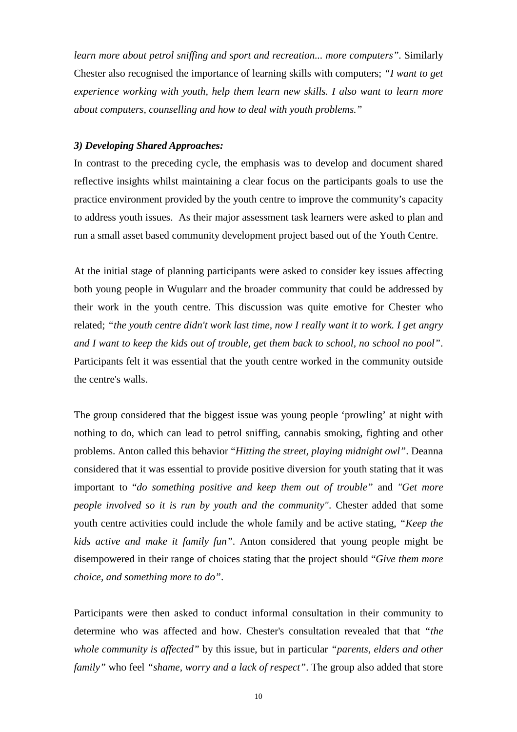*learn more about petrol sniffing and sport and recreation... more computers".* Similarly Chester also recognised the importance of learning skills with computers; *"I want to get experience working with youth, help them learn new skills. I also want to learn more about computers, counselling and how to deal with youth problems."*

### *3) Developing Shared Approaches:*

In contrast to the preceding cycle, the emphasis was to develop and document shared reflective insights whilst maintaining a clear focus on the participants goals to use the practice environment provided by the youth centre to improve the community's capacity to address youth issues. As their major assessment task learners were asked to plan and run a small asset based community development project based out of the Youth Centre.

At the initial stage of planning participants were asked to consider key issues affecting both young people in Wugularr and the broader community that could be addressed by their work in the youth centre. This discussion was quite emotive for Chester who related; *"the youth centre didn't work last time, now I really want it to work. I get angry and I want to keep the kids out of trouble, get them back to school, no school no pool"*. Participants felt it was essential that the youth centre worked in the community outside the centre's walls.

The group considered that the biggest issue was young people 'prowling' at night with nothing to do, which can lead to petrol sniffing, cannabis smoking, fighting and other problems. Anton called this behavior "*Hitting the street, playing midnight owl"*. Deanna considered that it was essential to provide positive diversion for youth stating that it was important to "*do something positive and keep them out of trouble"* and *"Get more people involved so it is run by youth and the community"*. Chester added that some youth centre activities could include the whole family and be active stating, *"Keep the kids active and make it family fun"*. Anton considered that young people might be disempowered in their range of choices stating that the project should "*Give them more choice, and something more to do"*.

Participants were then asked to conduct informal consultation in their community to determine who was affected and how. Chester's consultation revealed that that *"the whole community is affected"* by this issue, but in particular *"parents, elders and other family"* who feel *"shame, worry and a lack of respect"*. The group also added that store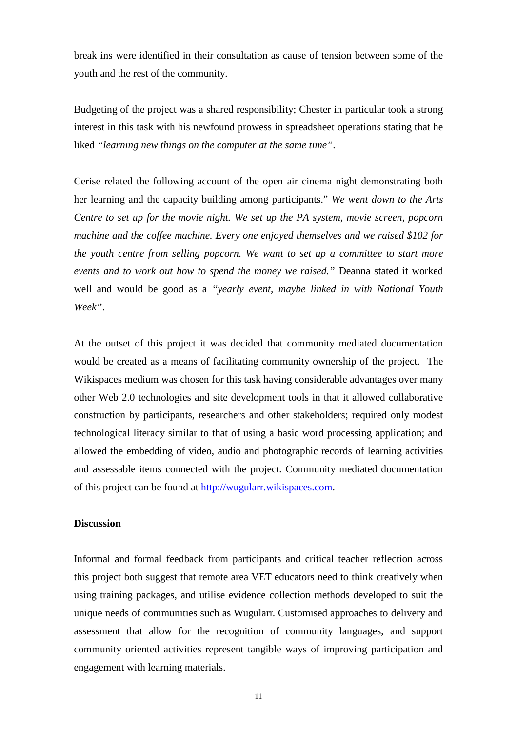break ins were identified in their consultation as cause of tension between some of the youth and the rest of the community.

Budgeting of the project was a shared responsibility; Chester in particular took a strong interest in this task with his newfound prowess in spreadsheet operations stating that he liked *"learning new things on the computer at the same time"*.

Cerise related the following account of the open air cinema night demonstrating both her learning and the capacity building among participants." *We went down to the Arts Centre to set up for the movie night. We set up the PA system, movie screen, popcorn machine and the coffee machine. Every one enjoyed themselves and we raised \$102 for the youth centre from selling popcorn. We want to set up a committee to start more events and to work out how to spend the money we raised."* Deanna stated it worked well and would be good as a *"yearly event, maybe linked in with National Youth Week"*.

At the outset of this project it was decided that community mediated documentation would be created as a means of facilitating community ownership of the project. The Wikispaces medium was chosen for this task having considerable advantages over many other Web 2.0 technologies and site development tools in that it allowed collaborative construction by participants, researchers and other stakeholders; required only modest technological literacy similar to that of using a basic word processing application; and allowed the embedding of video, audio and photographic records of learning activities and assessable items connected with the project. Community mediated documentation of this project can be found at http://wugularr.wikispaces.com.

# **Discussion**

Informal and formal feedback from participants and critical teacher reflection across this project both suggest that remote area VET educators need to think creatively when using training packages, and utilise evidence collection methods developed to suit the unique needs of communities such as Wugularr. Customised approaches to delivery and assessment that allow for the recognition of community languages, and support community oriented activities represent tangible ways of improving participation and engagement with learning materials.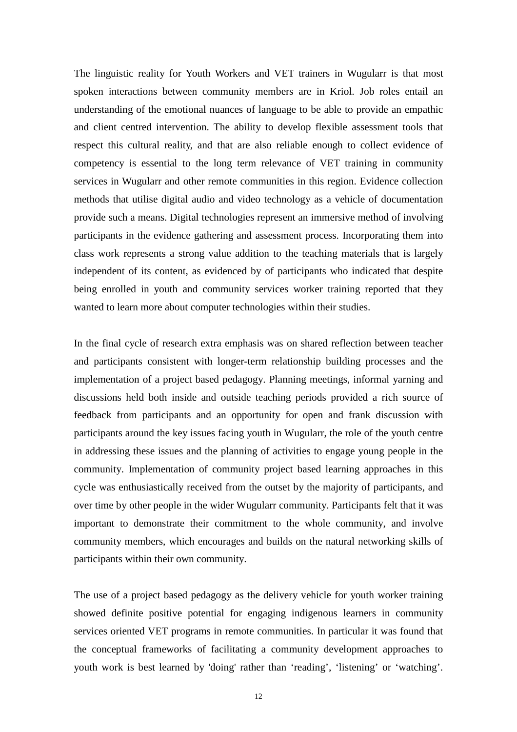The linguistic reality for Youth Workers and VET trainers in Wugularr is that most spoken interactions between community members are in Kriol. Job roles entail an understanding of the emotional nuances of language to be able to provide an empathic and client centred intervention. The ability to develop flexible assessment tools that respect this cultural reality, and that are also reliable enough to collect evidence of competency is essential to the long term relevance of VET training in community services in Wugularr and other remote communities in this region. Evidence collection methods that utilise digital audio and video technology as a vehicle of documentation provide such a means. Digital technologies represent an immersive method of involving participants in the evidence gathering and assessment process. Incorporating them into class work represents a strong value addition to the teaching materials that is largely independent of its content, as evidenced by of participants who indicated that despite being enrolled in youth and community services worker training reported that they wanted to learn more about computer technologies within their studies.

In the final cycle of research extra emphasis was on shared reflection between teacher and participants consistent with longer-term relationship building processes and the implementation of a project based pedagogy. Planning meetings, informal yarning and discussions held both inside and outside teaching periods provided a rich source of feedback from participants and an opportunity for open and frank discussion with participants around the key issues facing youth in Wugularr, the role of the youth centre in addressing these issues and the planning of activities to engage young people in the community. Implementation of community project based learning approaches in this cycle was enthusiastically received from the outset by the majority of participants, and over time by other people in the wider Wugularr community. Participants felt that it was important to demonstrate their commitment to the whole community, and involve community members, which encourages and builds on the natural networking skills of participants within their own community.

The use of a project based pedagogy as the delivery vehicle for youth worker training showed definite positive potential for engaging indigenous learners in community services oriented VET programs in remote communities. In particular it was found that the conceptual frameworks of facilitating a community development approaches to youth work is best learned by 'doing' rather than 'reading', 'listening' or 'watching'.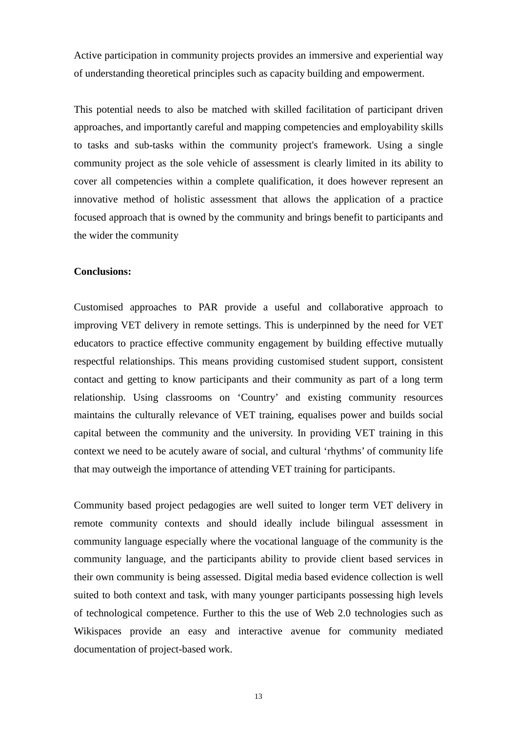Active participation in community projects provides an immersive and experiential way of understanding theoretical principles such as capacity building and empowerment.

This potential needs to also be matched with skilled facilitation of participant driven approaches, and importantly careful and mapping competencies and employability skills to tasks and sub-tasks within the community project's framework. Using a single community project as the sole vehicle of assessment is clearly limited in its ability to cover all competencies within a complete qualification, it does however represent an innovative method of holistic assessment that allows the application of a practice focused approach that is owned by the community and brings benefit to participants and the wider the community

# **Conclusions:**

Customised approaches to PAR provide a useful and collaborative approach to improving VET delivery in remote settings. This is underpinned by the need for VET educators to practice effective community engagement by building effective mutually respectful relationships. This means providing customised student support, consistent contact and getting to know participants and their community as part of a long term relationship. Using classrooms on 'Country' and existing community resources maintains the culturally relevance of VET training, equalises power and builds social capital between the community and the university. In providing VET training in this context we need to be acutely aware of social, and cultural 'rhythms' of community life that may outweigh the importance of attending VET training for participants.

Community based project pedagogies are well suited to longer term VET delivery in remote community contexts and should ideally include bilingual assessment in community language especially where the vocational language of the community is the community language, and the participants ability to provide client based services in their own community is being assessed. Digital media based evidence collection is well suited to both context and task, with many younger participants possessing high levels of technological competence. Further to this the use of Web 2.0 technologies such as Wikispaces provide an easy and interactive avenue for community mediated documentation of project-based work.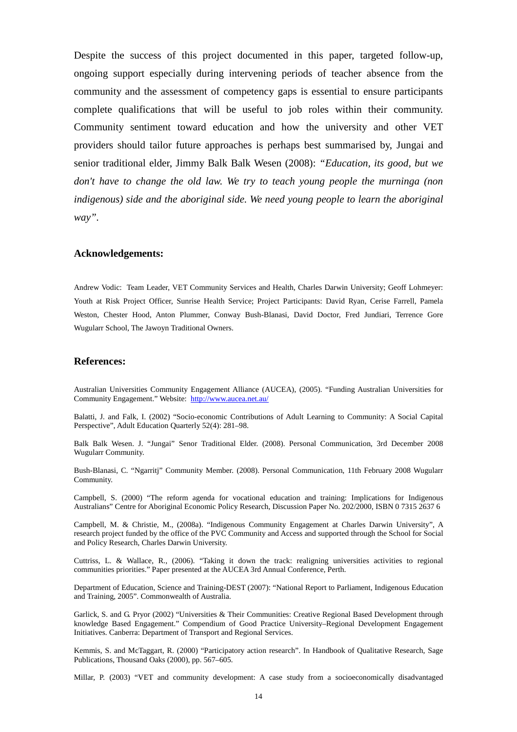Despite the success of this project documented in this paper, targeted follow-up, ongoing support especially during intervening periods of teacher absence from the community and the assessment of competency gaps is essential to ensure participants complete qualifications that will be useful to job roles within their community. Community sentiment toward education and how the university and other VET providers should tailor future approaches is perhaps best summarised by, Jungai and senior traditional elder, Jimmy Balk Balk Wesen (2008): *"Education, its good, but we don't have to change the old law. We try to teach young people the murninga (non*  indigenous) side and the aboriginal side. We need young people to learn the aboriginal *way".*

#### **Acknowledgements:**

Andrew Vodic: Team Leader, VET Community Services and Health, Charles Darwin University; Geoff Lohmeyer: Youth at Risk Project Officer, Sunrise Health Service; Project Participants: David Ryan, Cerise Farrell, Pamela Weston, Chester Hood, Anton Plummer, Conway Bush-Blanasi, David Doctor, Fred Jundiari, Terrence Gore Wugularr School, The Jawoyn Traditional Owners.

#### **References:**

Australian Universities Community Engagement Alliance (AUCEA), (2005). "Funding Australian Universities for Community Engagement." Website: http://www.aucea.net.au/

Balatti, J. and Falk, I. (2002) "Socio-economic Contributions of Adult Learning to Community: A Social Capital Perspective", Adult Education Quarterly 52(4): 281–98.

Balk Balk Wesen. J. "Jungai" Senor Traditional Elder. (2008). Personal Communication, 3rd December 2008 Wugularr Community.

Bush-Blanasi, C. "Ngarritj" Community Member. (2008). Personal Communication, 11th February 2008 Wugularr Community.

Campbell, S. (2000) "The reform agenda for vocational education and training: Implications for Indigenous Australians" Centre for Aboriginal Economic Policy Research, Discussion Paper No. 202/2000, ISBN 0 7315 2637 6

Campbell, M. & Christie, M., (2008a). "Indigenous Community Engagement at Charles Darwin University", A research project funded by the office of the PVC Community and Access and supported through the School for Social and Policy Research, Charles Darwin University.

Cuttriss, L. & Wallace, R., (2006). "Taking it down the track: realigning universities activities to regional communities priorities." Paper presented at the AUCEA 3rd Annual Conference, Perth.

Department of Education, Science and Training-DEST (2007): "National Report to Parliament, Indigenous Education and Training, 2005". Commonwealth of Australia.

Garlick, S. and G. Pryor (2002) "Universities & Their Communities: Creative Regional Based Development through knowledge Based Engagement." Compendium of Good Practice University–Regional Development Engagement Initiatives. Canberra: Department of Transport and Regional Services.

Kemmis, S. and McTaggart, R. (2000) "Participatory action research". In Handbook of Qualitative Research, Sage Publications, Thousand Oaks (2000), pp. 567–605.

Millar, P. (2003) "VET and community development: A case study from a socioeconomically disadvantaged